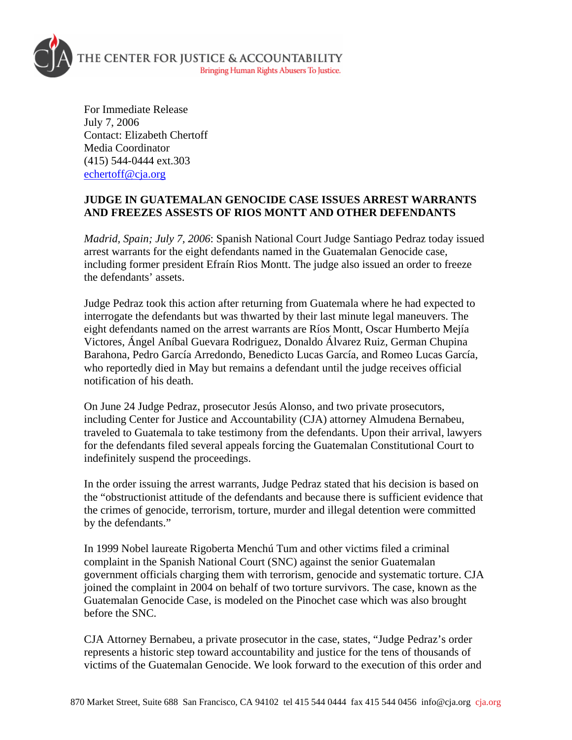

For Immediate Release July 7, 2006 Contact: Elizabeth Chertoff Media Coordinator (415) 544-0444 ext.303 [echertoff@cja.org](mailto:echertoff@cja.org)

## **JUDGE IN GUATEMALAN GENOCIDE CASE ISSUES ARREST WARRANTS AND FREEZES ASSESTS OF RIOS MONTT AND OTHER DEFENDANTS**

*Madrid, Spain; July 7, 2006*: Spanish National Court Judge Santiago Pedraz today issued arrest warrants for the eight defendants named in the Guatemalan Genocide case, including former president Efraín Rios Montt. The judge also issued an order to freeze the defendants' assets.

Judge Pedraz took this action after returning from Guatemala where he had expected to interrogate the defendants but was thwarted by their last minute legal maneuvers. The eight defendants named on the arrest warrants are Ríos Montt, Oscar Humberto Mejía Victores, Ángel Aníbal Guevara Rodriguez, Donaldo Álvarez Ruiz, German Chupina Barahona, Pedro García Arredondo, Benedicto Lucas García, and Romeo Lucas García, who reportedly died in May but remains a defendant until the judge receives official notification of his death.

On June 24 Judge Pedraz, prosecutor Jesús Alonso, and two private prosecutors, including Center for Justice and Accountability (CJA) attorney Almudena Bernabeu, traveled to Guatemala to take testimony from the defendants. Upon their arrival, lawyers for the defendants filed several appeals forcing the Guatemalan Constitutional Court to indefinitely suspend the proceedings.

In the order issuing the arrest warrants, Judge Pedraz stated that his decision is based on the "obstructionist attitude of the defendants and because there is sufficient evidence that the crimes of genocide, terrorism, torture, murder and illegal detention were committed by the defendants."

In 1999 Nobel laureate Rigoberta Menchú Tum and other victims filed a criminal complaint in the Spanish National Court (SNC) against the senior Guatemalan government officials charging them with terrorism, genocide and systematic torture. CJA joined the complaint in 2004 on behalf of two torture survivors. The case, known as the Guatemalan Genocide Case, is modeled on the Pinochet case which was also brought before the SNC.

CJA Attorney Bernabeu, a private prosecutor in the case, states, "Judge Pedraz's order represents a historic step toward accountability and justice for the tens of thousands of victims of the Guatemalan Genocide. We look forward to the execution of this order and